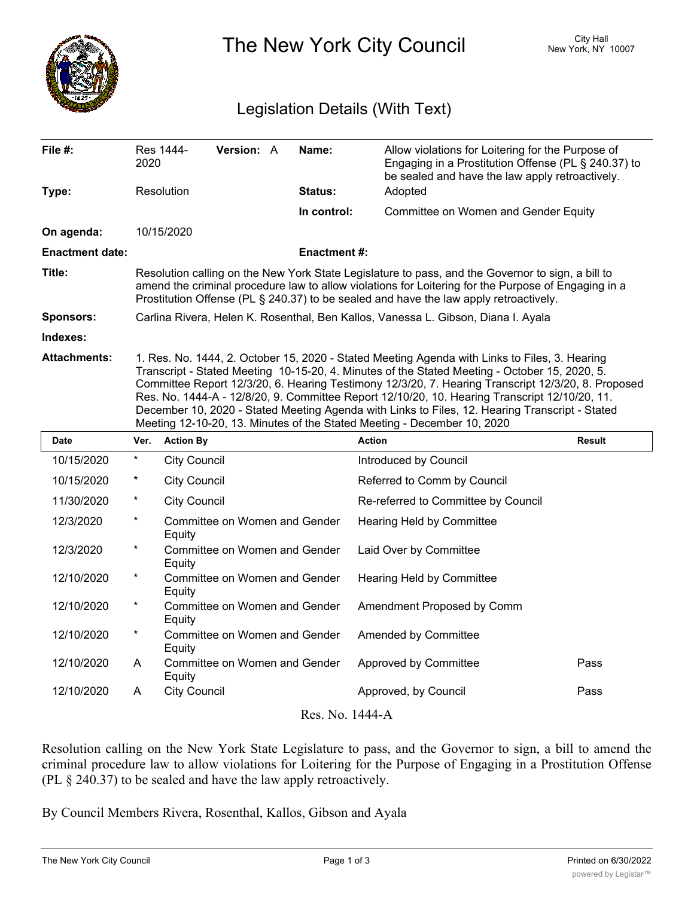

The New York City Council New York, NY 10007

## Legislation Details (With Text)

| File #:                | 2020                                                                                                                                                                                                                                                                                                                                                                                                                                                                                                                                                                               | Res 1444-           | <b>Version: A</b>             |  | Name:               | Allow violations for Loitering for the Purpose of<br>Engaging in a Prostitution Offense (PL § 240.37) to<br>be sealed and have the law apply retroactively. |               |
|------------------------|------------------------------------------------------------------------------------------------------------------------------------------------------------------------------------------------------------------------------------------------------------------------------------------------------------------------------------------------------------------------------------------------------------------------------------------------------------------------------------------------------------------------------------------------------------------------------------|---------------------|-------------------------------|--|---------------------|-------------------------------------------------------------------------------------------------------------------------------------------------------------|---------------|
| Type:                  |                                                                                                                                                                                                                                                                                                                                                                                                                                                                                                                                                                                    | Resolution          |                               |  | Status:             | Adopted                                                                                                                                                     |               |
|                        |                                                                                                                                                                                                                                                                                                                                                                                                                                                                                                                                                                                    |                     |                               |  | In control:         | Committee on Women and Gender Equity                                                                                                                        |               |
| On agenda:             |                                                                                                                                                                                                                                                                                                                                                                                                                                                                                                                                                                                    | 10/15/2020          |                               |  |                     |                                                                                                                                                             |               |
| <b>Enactment date:</b> |                                                                                                                                                                                                                                                                                                                                                                                                                                                                                                                                                                                    |                     |                               |  | <b>Enactment #:</b> |                                                                                                                                                             |               |
| Title:                 | Resolution calling on the New York State Legislature to pass, and the Governor to sign, a bill to<br>amend the criminal procedure law to allow violations for Loitering for the Purpose of Engaging in a<br>Prostitution Offense (PL § 240.37) to be sealed and have the law apply retroactively.                                                                                                                                                                                                                                                                                  |                     |                               |  |                     |                                                                                                                                                             |               |
| <b>Sponsors:</b>       | Carlina Rivera, Helen K. Rosenthal, Ben Kallos, Vanessa L. Gibson, Diana I. Ayala                                                                                                                                                                                                                                                                                                                                                                                                                                                                                                  |                     |                               |  |                     |                                                                                                                                                             |               |
| Indexes:               |                                                                                                                                                                                                                                                                                                                                                                                                                                                                                                                                                                                    |                     |                               |  |                     |                                                                                                                                                             |               |
| Attachments:           | 1. Res. No. 1444, 2. October 15, 2020 - Stated Meeting Agenda with Links to Files, 3. Hearing<br>Transcript - Stated Meeting 10-15-20, 4. Minutes of the Stated Meeting - October 15, 2020, 5.<br>Committee Report 12/3/20, 6. Hearing Testimony 12/3/20, 7. Hearing Transcript 12/3/20, 8. Proposed<br>Res. No. 1444-A - 12/8/20, 9. Committee Report 12/10/20, 10. Hearing Transcript 12/10/20, 11.<br>December 10, 2020 - Stated Meeting Agenda with Links to Files, 12. Hearing Transcript - Stated<br>Meeting 12-10-20, 13. Minutes of the Stated Meeting - December 10, 2020 |                     |                               |  |                     |                                                                                                                                                             |               |
|                        |                                                                                                                                                                                                                                                                                                                                                                                                                                                                                                                                                                                    |                     |                               |  |                     |                                                                                                                                                             |               |
| Date                   | Ver.                                                                                                                                                                                                                                                                                                                                                                                                                                                                                                                                                                               | <b>Action By</b>    |                               |  |                     | <b>Action</b>                                                                                                                                               | <b>Result</b> |
| 10/15/2020             | *                                                                                                                                                                                                                                                                                                                                                                                                                                                                                                                                                                                  | <b>City Council</b> |                               |  |                     | Introduced by Council                                                                                                                                       |               |
| 10/15/2020             | $\ast$                                                                                                                                                                                                                                                                                                                                                                                                                                                                                                                                                                             | <b>City Council</b> |                               |  |                     | Referred to Comm by Council                                                                                                                                 |               |
| 11/30/2020             | *                                                                                                                                                                                                                                                                                                                                                                                                                                                                                                                                                                                  | <b>City Council</b> |                               |  |                     | Re-referred to Committee by Council                                                                                                                         |               |
| 12/3/2020              | *                                                                                                                                                                                                                                                                                                                                                                                                                                                                                                                                                                                  | Equity              | Committee on Women and Gender |  |                     | Hearing Held by Committee                                                                                                                                   |               |
| 12/3/2020              | $\star$                                                                                                                                                                                                                                                                                                                                                                                                                                                                                                                                                                            | Equity              | Committee on Women and Gender |  |                     | Laid Over by Committee                                                                                                                                      |               |
| 12/10/2020             | *                                                                                                                                                                                                                                                                                                                                                                                                                                                                                                                                                                                  | Equity              | Committee on Women and Gender |  |                     | Hearing Held by Committee                                                                                                                                   |               |
| 12/10/2020             | $^\star$                                                                                                                                                                                                                                                                                                                                                                                                                                                                                                                                                                           | Equity              | Committee on Women and Gender |  |                     | Amendment Proposed by Comm                                                                                                                                  |               |
| 12/10/2020             | $^\star$                                                                                                                                                                                                                                                                                                                                                                                                                                                                                                                                                                           | Equity              | Committee on Women and Gender |  |                     | Amended by Committee                                                                                                                                        |               |
| 12/10/2020             | A                                                                                                                                                                                                                                                                                                                                                                                                                                                                                                                                                                                  | Equity              | Committee on Women and Gender |  |                     | Approved by Committee                                                                                                                                       | Pass          |
| 12/10/2020             | A                                                                                                                                                                                                                                                                                                                                                                                                                                                                                                                                                                                  | <b>City Council</b> |                               |  |                     | Approved, by Council                                                                                                                                        | Pass          |

Resolution calling on the New York State Legislature to pass, and the Governor to sign, a bill to amend the criminal procedure law to allow violations for Loitering for the Purpose of Engaging in a Prostitution Offense (PL § 240.37) to be sealed and have the law apply retroactively.

By Council Members Rivera, Rosenthal, Kallos, Gibson and Ayala

 $W_{\rm eff}$  section 240.37,  $P_{\rm eff}$  in a Prostitution 240.37,  $P_{\rm eff}$  in a Prostitution Offense,  $P_{\rm eff}$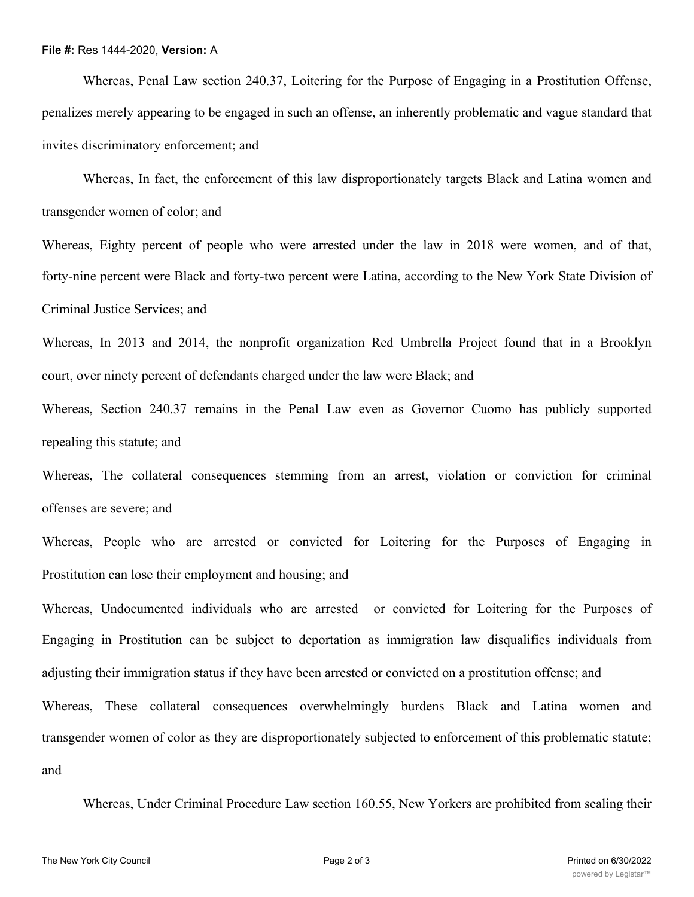## **File #:** Res 1444-2020, **Version:** A

Whereas, Penal Law section 240.37, Loitering for the Purpose of Engaging in a Prostitution Offense, penalizes merely appearing to be engaged in such an offense, an inherently problematic and vague standard that invites discriminatory enforcement; and

Whereas, In fact, the enforcement of this law disproportionately targets Black and Latina women and transgender women of color; and

Whereas, Eighty percent of people who were arrested under the law in 2018 were women, and of that, forty-nine percent were Black and forty-two percent were Latina, according to the New York State Division of Criminal Justice Services; and

Whereas, In 2013 and 2014, the nonprofit organization Red Umbrella Project found that in a Brooklyn court, over ninety percent of defendants charged under the law were Black; and

Whereas, Section 240.37 remains in the Penal Law even as Governor Cuomo has publicly supported repealing this statute; and

Whereas, The collateral consequences stemming from an arrest, violation or conviction for criminal offenses are severe; and

Whereas, People who are arrested or convicted for Loitering for the Purposes of Engaging in Prostitution can lose their employment and housing; and

Whereas, Undocumented individuals who are arrested or convicted for Loitering for the Purposes of Engaging in Prostitution can be subject to deportation as immigration law disqualifies individuals from adjusting their immigration status if they have been arrested or convicted on a prostitution offense; and

Whereas, These collateral consequences overwhelmingly burdens Black and Latina women and transgender women of color as they are disproportionately subjected to enforcement of this problematic statute; and

Whereas, Under Criminal Procedure Law section 160.55, New Yorkers are prohibited from sealing their